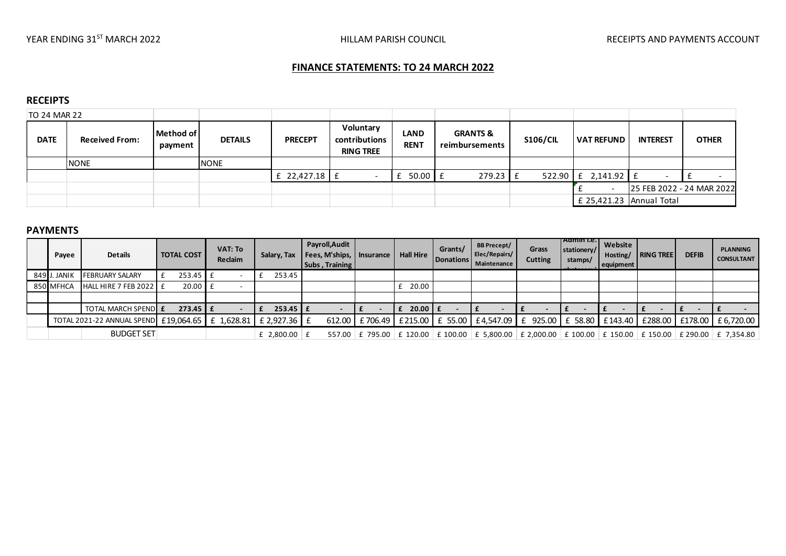# **FINANCE STATEMENTS: TO 24 MARCH 2022**

## **RECEIPTS**

| TO 24 MAR 22 |                       |                      |                |                 |                                                |                            |                                       |                 |                            |                           |              |
|--------------|-----------------------|----------------------|----------------|-----------------|------------------------------------------------|----------------------------|---------------------------------------|-----------------|----------------------------|---------------------------|--------------|
| <b>DATE</b>  | <b>Received From:</b> | Method of<br>payment | <b>DETAILS</b> | <b>PRECEPT</b>  | Voluntary<br>contributions<br><b>RING TREE</b> | <b>LAND</b><br><b>RENT</b> | <b>GRANTS &amp;</b><br>reimbursements | <b>S106/CIL</b> | <b>VAT REFUND</b>          | <b>INTEREST</b>           | <b>OTHER</b> |
|              | <b>NONE</b>           |                      | <b>NONE</b>    |                 |                                                |                            |                                       |                 |                            |                           |              |
|              |                       |                      |                | £ 22,427.18 $E$ |                                                | $50.00$ $E$<br>£           | 279.23                                | 522.90          | $2,141.92 \mid f$<br>£     |                           |              |
|              |                       |                      |                |                 |                                                |                            |                                       |                 |                            | 25 FEB 2022 - 24 MAR 2022 |              |
|              |                       |                      |                |                 |                                                |                            |                                       |                 | £ 25,421.23   Annual Total |                           |              |
|              |                       |                      |                |                 |                                                |                            |                                       |                 |                            |                           |              |
| ----------   |                       |                      |                |                 |                                                |                            |                                       |                 |                            |                           |              |

#### **PAYMENTS**

| Payee        | <b>Details</b>                                   | <b>TOTAL COST</b> | VAT: To<br>Reclaim | Salary, Tax    | Payroll, Audit<br>  Fees, M'ships,   Insurance  <br>  Subs, Training | <b>Hall Hire</b> | Grants/<br>Donations | <b>BB Precept/</b><br>Elec/Repairs/<br>Maintenance | Grass<br>Cutting | TAdmin I.e.<br>stationery/<br>stamps/ | Website<br>Hosting/<br>equipment | <b>RING TREE</b> | <b>DEFIB</b> | <b>PLANNING</b><br><b>CONSULTANT</b>                                                                          |
|--------------|--------------------------------------------------|-------------------|--------------------|----------------|----------------------------------------------------------------------|------------------|----------------------|----------------------------------------------------|------------------|---------------------------------------|----------------------------------|------------------|--------------|---------------------------------------------------------------------------------------------------------------|
| 849 J. JANIK | <b>FEBRUARY SALARY</b>                           | $253.45$ $E$      |                    | 253.45         |                                                                      |                  |                      |                                                    |                  |                                       |                                  |                  |              |                                                                                                               |
| 850 MFHCA    | HALL HIRE 7 FEB 2022 $E$                         | $20.00$ E         |                    |                |                                                                      | 20.00            |                      |                                                    |                  |                                       |                                  |                  |              |                                                                                                               |
|              |                                                  |                   |                    |                |                                                                      |                  |                      |                                                    |                  |                                       |                                  |                  |              |                                                                                                               |
|              | <b>TOTAL MARCH SPEND E</b>                       | $273.45 \mid f$   |                    | $253.45$ $E$   |                                                                      | $f$ 20.00 $f$    |                      |                                                    |                  |                                       |                                  |                  |              |                                                                                                               |
|              | TOTAL 2021-22 ANNUAL SPEND £19,064.65 £ 1,628.81 |                   |                    | £ 2,927.36 $E$ | 612.00                                                               |                  |                      |                                                    |                  |                                       |                                  |                  |              | £ 706.49   £ 215.00   £ 55.00   £ 4,547.09   £ 925.00   £ 58.80   £ 143.40   £ 288.00   £ 178.00   £ 6,720.00 |
|              | <b>BUDGET SET</b>                                |                   |                    | £ 2,800.00 $E$ |                                                                      |                  |                      |                                                    |                  |                                       |                                  |                  |              | 557.00 £ 795.00 £ 120.00 £ 100.00 £ 5,800.00 £ 2,000.00 £ 100.00 £ 150.00 £ 150.00 £ 290.00 £ 7,354.80        |
|              |                                                  |                   |                    |                |                                                                      |                  |                      |                                                    |                  |                                       |                                  |                  |              |                                                                                                               |
|              |                                                  |                   |                    |                |                                                                      |                  |                      |                                                    |                  |                                       |                                  |                  |              |                                                                                                               |